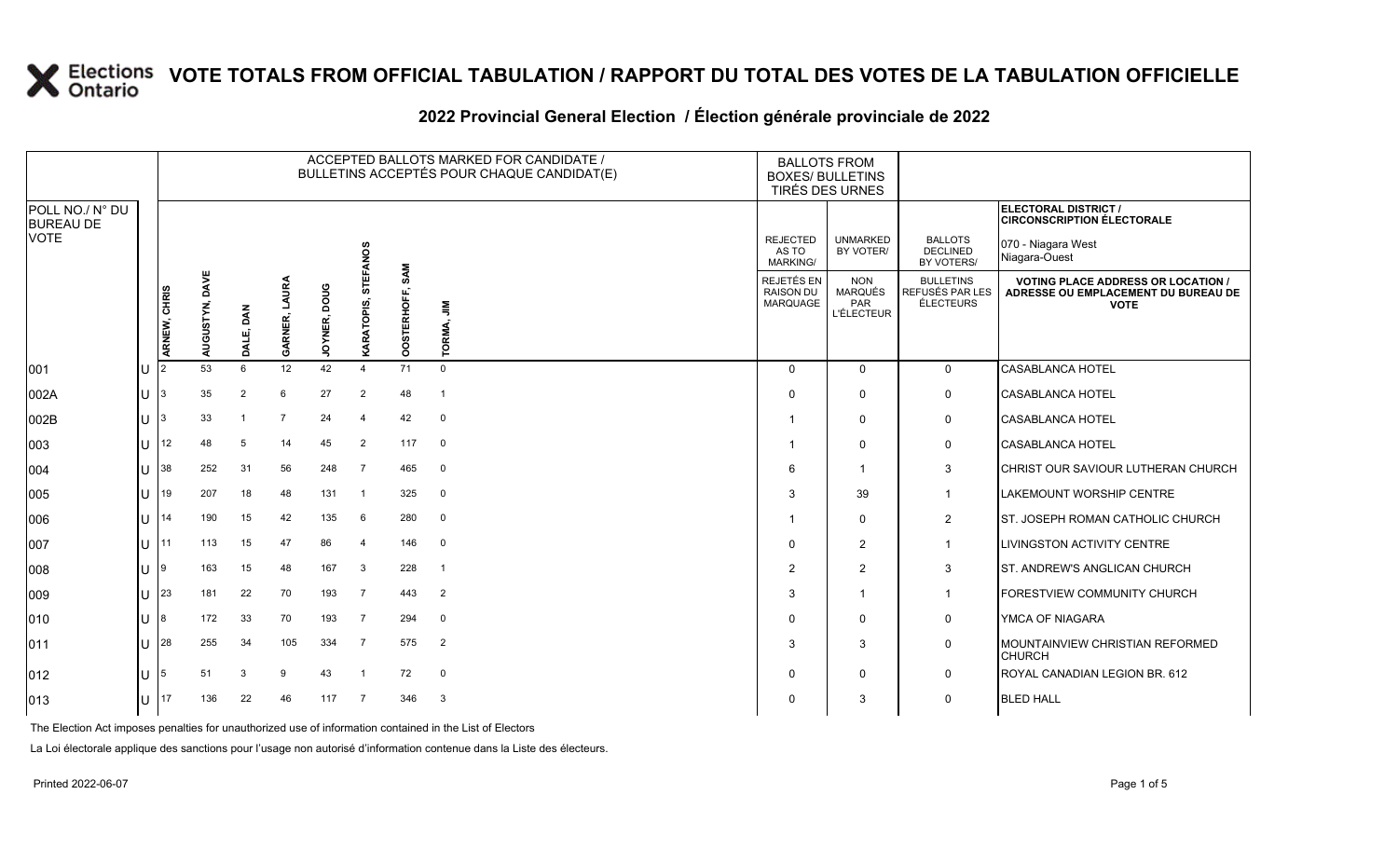#### **2022 Provincial General Election / Élection générale provinciale de 2022**

|                                     |                  |              |                   |            |                         |                        |                 |                    | ACCEPTED BALLOTS MARKED FOR CANDIDATE /<br>BULLETINS ACCEPTÉS POUR CHAQUE CANDIDAT(E) | <b>BALLOTS FROM</b><br><b>BOXES/ BULLETINS</b><br>TIRÉS DES URNES |                                                                 |                                                         |                                                                                               |
|-------------------------------------|------------------|--------------|-------------------|------------|-------------------------|------------------------|-----------------|--------------------|---------------------------------------------------------------------------------------|-------------------------------------------------------------------|-----------------------------------------------------------------|---------------------------------------------------------|-----------------------------------------------------------------------------------------------|
| POLL NO./ N° DU<br><b>BUREAU DE</b> |                  |              |                   |            |                         |                        |                 |                    |                                                                                       |                                                                   |                                                                 |                                                         | <b>ELECTORAL DISTRICT /</b><br><b>CIRCONSCRIPTION ÉLECTORALE</b>                              |
| <b>VOTE</b>                         |                  |              |                   |            |                         |                        | <b>STEFANOS</b> |                    |                                                                                       | <b>REJECTED</b><br>AS TO<br>MARKING/                              | <b>UNMARKED</b><br>BY VOTER/                                    | <b>BALLOTS</b><br><b>DECLINED</b><br>BY VOTERS/         | 070 - Niagara West<br>Niagara-Ouest                                                           |
|                                     |                  | ARNEW, CHRIS | DAVE<br>AUGUSTYN, | DAN<br>DAL | LAURA<br><b>GARNER,</b> | poug<br><b>JOYNER,</b> | KARATOPIS,      | SAM<br>OOSTERHOFF, | $\bar{z}$<br>TORMA,                                                                   | REJETÉS EN<br><b>RAISON DU</b><br><b>MARQUAGE</b>                 | <b>NON</b><br><b>MARQUÉS</b><br><b>PAR</b><br><b>L'ÉLECTEUR</b> | <b>BULLETINS</b><br>REFUSÉS PAR LES<br><b>ÉLECTEURS</b> | <b>VOTING PLACE ADDRESS OR LOCATION</b><br>ADRESSE OU EMPLACEMENT DU BUREAU DE<br><b>VOTE</b> |
| 001                                 | U                | 12.          | 53                | 6          | 12                      | 42                     | $\mathbf 4$     | 71                 | $\mathbf 0$                                                                           | $\Omega$                                                          | $\Omega$                                                        | $\mathbf 0$                                             | <b>CASABLANCA HOTEL</b>                                                                       |
| 002A                                | U                | Β.           | 35                | 2          | 6                       | 27                     | $\overline{2}$  | 48                 | $\overline{1}$                                                                        | $\Omega$                                                          | $\Omega$                                                        | $\mathbf 0$                                             | <b>CASABLANCA HOTEL</b>                                                                       |
| 002B                                | U                | 3            | 33                |            | $\overline{7}$          | 24                     | $\overline{4}$  | 42                 | $\mathbf 0$                                                                           |                                                                   | $\mathbf 0$                                                     | 0                                                       | <b>CASABLANCA HOTEL</b>                                                                       |
| 003                                 | U                | 12           | 48                | 5          | 14                      | 45                     | 2               | 117                | $\mathbf 0$                                                                           |                                                                   | $\Omega$                                                        | $\mathbf 0$                                             | <b>CASABLANCA HOTEL</b>                                                                       |
| 004                                 | U                | 38           | 252               | 31         | 56                      | 248                    | $\overline{7}$  | 465                | $\mathbf 0$                                                                           | 6                                                                 | -1                                                              | 3                                                       | CHRIST OUR SAVIOUR LUTHERAN CHURCH                                                            |
| 005                                 | U                | 19           | 207               | 18         | 48                      | 131                    | $\overline{1}$  | 325                | $\mathbf 0$                                                                           | 3                                                                 | 39                                                              | $\mathbf{1}$                                            | LAKEMOUNT WORSHIP CENTRE                                                                      |
| 006                                 | UΙ               | 14           | 190               | 15         | 42                      | 135                    | 6               | 280                | $\mathbf 0$                                                                           |                                                                   | $\Omega$                                                        | $\overline{2}$                                          | ST. JOSEPH ROMAN CATHOLIC CHURCH                                                              |
| 007                                 |                  | U 11         | 113               | 15         | 47                      | 86                     | $\overline{4}$  | 146                | $\mathbf 0$                                                                           | $\Omega$                                                          | $\overline{2}$                                                  | $\mathbf{1}$                                            | LIVINGSTON ACTIVITY CENTRE                                                                    |
| 008                                 | U                | 19           | 163               | 15         | 48                      | 167                    | 3               | 228                | $\overline{1}$                                                                        | 2                                                                 | 2                                                               | 3                                                       | ST. ANDREW'S ANGLICAN CHURCH                                                                  |
| 009                                 |                  | $11 \,  23$  | 181               | 22         | 70                      | 193                    | 7               | 443                | $\overline{2}$                                                                        | 3                                                                 | $\mathbf 1$                                                     | $\mathbf{1}$                                            | FORESTVIEW COMMUNITY CHURCH                                                                   |
| 010                                 | 11 8             |              | 172               | 33         | 70                      | 193                    | $\overline{7}$  | 294                | $\mathbf 0$                                                                           | $\Omega$                                                          | $\Omega$                                                        | 0                                                       | YMCA OF NIAGARA                                                                               |
| 011                                 |                  | $\bigcup$ 28 | 255               | 34         | 105                     | 334                    | $\overline{7}$  | 575                | 2                                                                                     | 3                                                                 | 3                                                               | 0                                                       | MOUNTAINVIEW CHRISTIAN REFORMED<br><b>CHURCH</b>                                              |
| 012                                 | $\mathsf{U}$   5 |              | 51                | 3          | 9                       | 43                     | $\overline{1}$  | 72                 | $\mathbf 0$                                                                           | $\Omega$                                                          | $\Omega$                                                        | 0                                                       | ROYAL CANADIAN LEGION BR. 612                                                                 |
| 013                                 | U                | 17           | 136               | 22         | 46                      | 117                    | 7               | 346                | $\mathbf{3}$                                                                          | $\Omega$                                                          | 3                                                               | 0                                                       | <b>BLED HALL</b>                                                                              |

The Election Act imposes penalties for unauthorized use of information contained in the List of Electors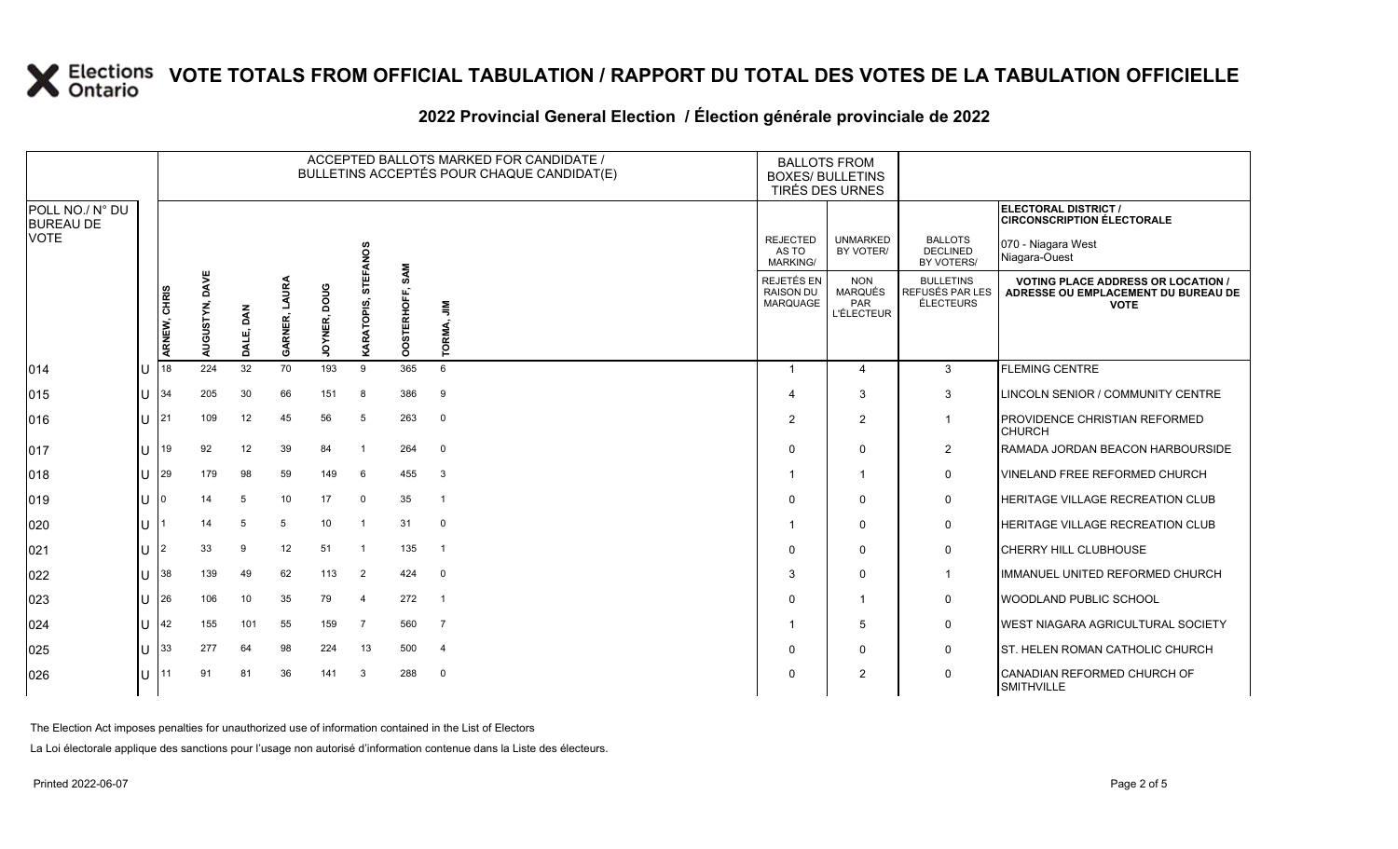|                                                    | ACCEPTED BALLOTS MARKED FOR CANDIDATE /<br>BULLETINS ACCEPTÉS POUR CHAQUE CANDIDAT(E) |                   |              |                         |                        |                 |                     |                  | <b>BALLOTS FROM</b>                               | <b>BOXES/ BULLETINS</b><br><b>TIRÉS DES URNES</b>        |                                                  |                                                                                                  |
|----------------------------------------------------|---------------------------------------------------------------------------------------|-------------------|--------------|-------------------------|------------------------|-----------------|---------------------|------------------|---------------------------------------------------|----------------------------------------------------------|--------------------------------------------------|--------------------------------------------------------------------------------------------------|
| POLL NO./ N° DU<br><b>BUREAU DE</b><br><b>VOTE</b> |                                                                                       |                   |              |                         |                        | <b>STEFANOS</b> |                     |                  | <b>REJECTED</b><br>AS TO<br><b>MARKING/</b>       | <b>UNMARKED</b><br>BY VOTER/                             | <b>BALLOTS</b><br><b>DECLINED</b><br>BY VOTERS/  | ELECTORAL DISTRICT /<br><b>CIRCONSCRIPTION ÉLECTORALE</b><br>070 - Niagara West<br>Niagara-Ouest |
|                                                    | ARNEW, CHRIS                                                                          | DAVE<br>AUGUSTYN, | DAN<br>DALE, | LAURA<br><b>GARNER,</b> | poug<br><b>JOYNER,</b> | ທົ<br>KARATOPI  | OSTERHOFF, SAM<br>ŏ | ≧<br>5<br>TORMA, | REJETÉS EN<br><b>RAISON DU</b><br><b>MARQUAGE</b> | <b>NON</b><br><b>MARQUÉS</b><br>PAR<br><b>L'ÉLECTEUR</b> | <b>BULLETINS</b><br>REFUSÉS PAR LES<br>ÉLECTEURS | <b>VOTING PLACE ADDRESS OR LOCATION /</b><br>ADRESSE OU EMPLACEMENT DU BUREAU DE<br><b>VOTE</b>  |
| 014                                                | 18                                                                                    | 224               | 32           | 70                      | 193                    | 9               | 365                 | 6                | -1                                                | $\overline{4}$                                           | 3                                                | <b>FLEMING CENTRE</b>                                                                            |
| 015                                                | 34                                                                                    | 205               | 30           | 66                      | 151                    | 8               | 386                 | 9                | $\boldsymbol{\Delta}$                             | 3                                                        | 3                                                | LINCOLN SENIOR / COMMUNITY CENTRE                                                                |
| 016                                                | 21                                                                                    | 109               | 12           | 45                      | 56                     | -5              | 263                 | $\mathbf 0$      | $\overline{2}$                                    | $\overline{2}$                                           | $\overline{1}$                                   | PROVIDENCE CHRISTIAN REFORMED<br><b>CHURCH</b>                                                   |
| 017                                                | 19                                                                                    | 92                | 12           | 39                      | 84                     |                 | 264                 | $\overline{0}$   | $\Omega$                                          | $\mathbf 0$                                              | $\overline{2}$                                   | RAMADA JORDAN BEACON HARBOURSIDE                                                                 |
| 018                                                | 29                                                                                    | 179               | 98           | 59                      | 149                    | - 6             | 455                 | $\mathbf{3}$     |                                                   | $\overline{1}$                                           | $\mathbf 0$                                      | <b>VINELAND FREE REFORMED CHURCH</b>                                                             |
| 019                                                | 0                                                                                     | 14                | 5            | 10                      | 17                     | $\mathbf 0$     | 35                  | - 1              | $\Omega$                                          | $\Omega$                                                 | 0                                                | <b>HERITAGE VILLAGE RECREATION CLUB</b>                                                          |
| 020                                                |                                                                                       | 14                | 5            | 5                       | 10 <sup>1</sup>        | $\overline{1}$  | 31                  | $\mathbf 0$      | -1                                                | $\Omega$                                                 | $\mathbf 0$                                      | HERITAGE VILLAGE RECREATION CLUB                                                                 |
| 021                                                |                                                                                       | 33                | 9            | 12                      | 51                     | -1              | 135                 | $\overline{1}$   | $\Omega$                                          | $\mathbf 0$                                              | $\mathbf 0$                                      | <b>CHERRY HILL CLUBHOUSE</b>                                                                     |
| 022                                                | 38                                                                                    | 139               | 49           | 62                      | 113                    | $\overline{2}$  | 424                 | $\overline{0}$   | 3                                                 | $\mathbf 0$                                              | $\overline{1}$                                   | IMMANUEL UNITED REFORMED CHURCH                                                                  |
| 023                                                | 26                                                                                    | 106               | 10           | 35                      | 79                     | $\overline{4}$  | 272                 | $\overline{1}$   | $\Omega$                                          | $\overline{1}$                                           | $\mathbf 0$                                      | WOODLAND PUBLIC SCHOOL                                                                           |
| 024                                                | 42                                                                                    | 155               | 101          | 55                      | 159                    | $\overline{7}$  | 560                 | $\overline{7}$   | -1                                                | 5                                                        | $\mathbf 0$                                      | WEST NIAGARA AGRICULTURAL SOCIETY                                                                |
| 025                                                | 33                                                                                    | 277               | 64           | 98                      | 224                    | 13              | 500                 | $\overline{4}$   | $\Omega$                                          | $\Omega$                                                 | $\mathbf 0$                                      | ST. HELEN ROMAN CATHOLIC CHURCH                                                                  |
| 026                                                | 11                                                                                    | 91                | 81           | 36                      | 141                    | 3               | 288                 | $\overline{0}$   | 0                                                 | 2                                                        | $\mathbf 0$                                      | CANADIAN REFORMED CHURCH OF<br><b>SMITHVILLE</b>                                                 |

### **2022 Provincial General Election / Élection générale provinciale de 2022**

The Election Act imposes penalties for unauthorized use of information contained in the List of Electors

La Loi électorale applique des sanctions pour l'usage non autorisé d'information contenue dans la Liste des électeurs.

CANADIAN REFORMED CHURCH OF<br>SMITHVILLE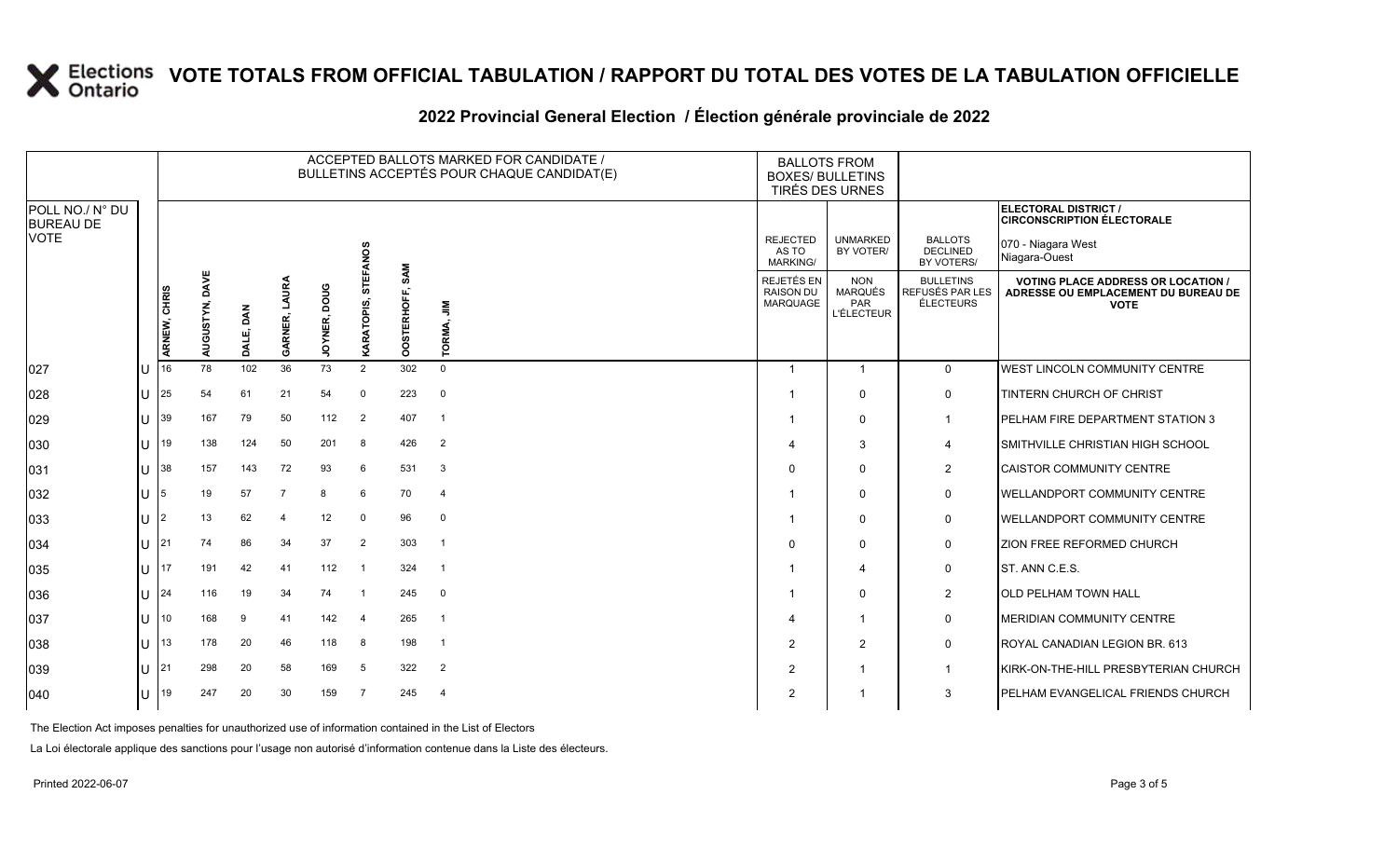### **2022 Provincial General Election / Élection générale provinciale de 2022**

|                                     |              |              |                   |           |                         |                              |                   |                    | ACCEPTED BALLOTS MARKED FOR CANDIDATE /<br>BULLETINS ACCEPTÉS POUR CHAQUE CANDIDAT(E) | <b>BALLOTS FROM</b><br><b>BOXES/ BULLETINS</b><br>TIRÉS DES URNES |                                                   |                                                  |                                                                                                 |  |
|-------------------------------------|--------------|--------------|-------------------|-----------|-------------------------|------------------------------|-------------------|--------------------|---------------------------------------------------------------------------------------|-------------------------------------------------------------------|---------------------------------------------------|--------------------------------------------------|-------------------------------------------------------------------------------------------------|--|
| POLL NO./ N° DU<br><b>BUREAU DE</b> |              |              |                   |           |                         |                              |                   |                    |                                                                                       |                                                                   |                                                   |                                                  | ELECTORAL DISTRICT /<br><b>CIRCONSCRIPTION ÉLECTORALE</b>                                       |  |
| <b>VOTE</b>                         |              |              |                   |           |                         |                              | <b>STEFANOS</b>   |                    |                                                                                       | <b>REJECTED</b><br>AS TO<br>MARKING/                              | <b>UNMARKED</b><br>BY VOTER/                      | <b>BALLOTS</b><br><b>DECLINED</b><br>BY VOTERS/  | 070 - Niagara West<br>Niagara-Ouest                                                             |  |
|                                     |              | ARNEW, CHRIS | DAVE<br>AUGUSTYN, | DALE, DAN | LAURA<br><b>GARNER,</b> | <b>DOO</b><br><b>JOYNER,</b> | <b>KARATOPIS,</b> | SAM<br>OOSTERHOFF, | $\frac{8}{7}$<br>TORMA,                                                               | <b>REJETÉS EN</b><br><b>RAISON DU</b><br>MARQUAGE                 | <b>NON</b><br>MARQUÉS<br>PAR<br><b>L'ÉLECTEUR</b> | <b>BULLETINS</b><br>REFUSÉS PAR LES<br>ÉLECTEURS | <b>VOTING PLACE ADDRESS OR LOCATION /</b><br>ADRESSE OU EMPLACEMENT DU BUREAU DE<br><b>VOTE</b> |  |
| 027                                 |              | 16           | 78                | 102       | 36                      | 73                           | 2                 | 302                | $\mathbf 0$                                                                           | - 1                                                               | $\mathbf{1}$                                      | $\mathbf{0}$                                     | WEST LINCOLN COMMUNITY CENTRE                                                                   |  |
| 028                                 | U            | 25           | 54                | 61        | 21                      | 54                           | $\Omega$          | 223                | $\mathbf 0$                                                                           |                                                                   | $\Omega$                                          | $\mathbf 0$                                      | TINTERN CHURCH OF CHRIST                                                                        |  |
| 029                                 | U            | 39           | 167               | 79        | 50                      | 112                          | 2                 | 407                | $\overline{1}$                                                                        | -1                                                                | $\Omega$                                          | $\mathbf{1}$                                     | PELHAM FIRE DEPARTMENT STATION 3                                                                |  |
| 030                                 | ΠT           | 19           | 138               | 124       | 50                      | 201                          | 8                 | 426                | 2                                                                                     | 4                                                                 | 3                                                 | 4                                                | SMITHVILLE CHRISTIAN HIGH SCHOOL                                                                |  |
| 031                                 | U            | 38           | 157               | 143       | 72                      | 93                           | 6                 | 531                | 3                                                                                     | $\Omega$                                                          | $\Omega$                                          | $\overline{2}$                                   | <b>CAISTOR COMMUNITY CENTRE</b>                                                                 |  |
| 032                                 | U            | 5            | 19                | 57        | $\overline{7}$          | 8                            | 6                 | 70                 | $\overline{4}$                                                                        |                                                                   | $\Omega$                                          | $\mathbf 0$                                      | <b>IWELLANDPORT COMMUNITY CENTRE</b>                                                            |  |
| 033                                 | ΠT           | 2            | 13                | 62        | 4                       | 12                           | $\Omega$          | 96                 | $\mathbf 0$                                                                           | -1                                                                | $\Omega$                                          | $\mathbf 0$                                      | <b>WELLANDPORT COMMUNITY CENTRE</b>                                                             |  |
| 034                                 | $\mathbf{U}$ | 21           | 74                | 86        | 34                      | 37                           | $\overline{2}$    | 303                | $\overline{1}$                                                                        | $\Omega$                                                          | $\Omega$                                          | 0                                                | ZION FREE REFORMED CHURCH                                                                       |  |
| 035                                 | U            | 17           | 191               | 42        | 41                      | 112                          | $\overline{1}$    | 324                | $\overline{1}$                                                                        |                                                                   | 4                                                 | $\mathbf 0$                                      | ST. ANN C.E.S.                                                                                  |  |
| 036                                 | ΠT           | 24           | 116               | 19        | 34                      | 74                           | $\overline{1}$    | 245                | $\mathbf 0$                                                                           | -1                                                                | $\Omega$                                          | $\overline{2}$                                   | <b>OLD PELHAM TOWN HALL</b>                                                                     |  |
| 037                                 | U            | 10           | 168               | 9         | 41                      | 142                          | $\overline{4}$    | 265                | $\overline{1}$                                                                        | $\overline{4}$                                                    | -1                                                | 0                                                | MERIDIAN COMMUNITY CENTRE                                                                       |  |
| 038                                 | U            | 13           | 178               | 20        | 46                      | 118                          | 8                 | 198                | $\overline{1}$                                                                        | $\overline{2}$                                                    | 2                                                 | 0                                                | ROYAL CANADIAN LEGION BR. 613                                                                   |  |
| 039                                 | U            | 21           | 298               | 20        | 58                      | 169                          | -5                | 322                | 2                                                                                     | $\overline{2}$                                                    | -1                                                | $\mathbf{1}$                                     | KIRK-ON-THE-HILL PRESBYTERIAN CHURCH                                                            |  |
| 040                                 | $\cup$       | 19           | 247               | 20        | 30                      | 159                          | $\overline{7}$    | 245                | $\overline{4}$                                                                        | $\overline{2}$                                                    |                                                   | 3                                                | <b>PELHAM EVANGELICAL FRIENDS CHURCH</b>                                                        |  |

The Election Act imposes penalties for unauthorized use of information contained in the List of Electors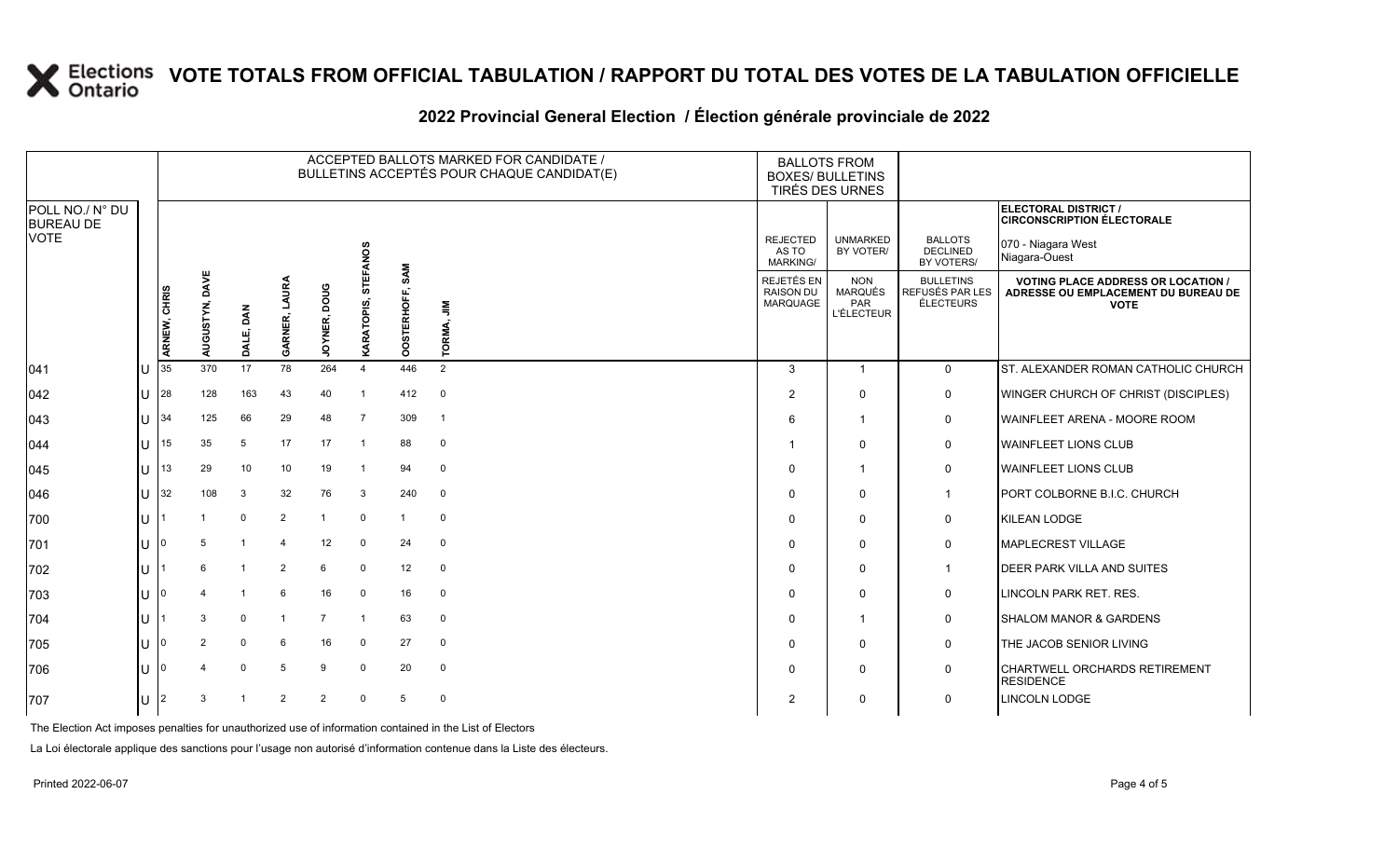### **2022 Provincial General Election / Élection générale provinciale de 2022**

|                                     |     |                |                   |                |                         |                        |                 |                    | ACCEPTED BALLOTS MARKED FOR CANDIDATE /<br>BULLETINS ACCEPTÉS POUR CHAQUE CANDIDAT(E) | <b>BALLOTS FROM</b><br><b>BOXES/ BULLETINS</b><br>TIRÉS DES URNES |                                                                 |                                                         |                                                                                                 |
|-------------------------------------|-----|----------------|-------------------|----------------|-------------------------|------------------------|-----------------|--------------------|---------------------------------------------------------------------------------------|-------------------------------------------------------------------|-----------------------------------------------------------------|---------------------------------------------------------|-------------------------------------------------------------------------------------------------|
| POLL NO./ N° DU<br><b>BUREAU DE</b> |     |                |                   |                |                         |                        |                 |                    |                                                                                       |                                                                   |                                                                 |                                                         | ELECTORAL DISTRICT /<br><b>CIRCONSCRIPTION ÉLECTORALE</b>                                       |
| <b>VOTE</b>                         |     |                |                   |                |                         |                        | <b>STEFANOS</b> |                    |                                                                                       | <b>REJECTED</b><br>AS TO<br><b>MARKING/</b>                       | <b>UNMARKED</b><br>BY VOTER/                                    | <b>BALLOTS</b><br>DECLINED<br>BY VOTERS/                | 070 - Niagara West<br>Niagara-Ouest                                                             |
|                                     |     | ARNEW, CHRIS   | DAVE<br>AUGUSTYN, | DALE, DAN      | LAURA<br><b>GARNER,</b> | pone<br><b>JOYNER,</b> | ທົ<br>KARATOPI  | SAM<br>OOSTERHOFF, | $\bar{z}$<br>TORMA,                                                                   | REJETÉS EN<br><b>RAISON DU</b><br>MARQUAGE                        | <b>NON</b><br><b>MARQUÉS</b><br><b>PAR</b><br><b>L'ÉLECTEUR</b> | <b>BULLETINS</b><br>REFUSÉS PAR LES<br><b>ÉLECTEURS</b> | <b>VOTING PLACE ADDRESS OR LOCATION /</b><br>ADRESSE OU EMPLACEMENT DU BUREAU DE<br><b>VOTE</b> |
| 041                                 | lU  | 35             | 370               | 17             | 78                      | 264                    | $\overline{4}$  | 446                | 2                                                                                     | 3                                                                 | $\overline{1}$                                                  | $\mathbf 0$                                             | ST. ALEXANDER ROMAN CATHOLIC CHURCH                                                             |
| $ 042\rangle$                       | U   | 28             | 128               | 163            | 43                      | 40                     | $\overline{1}$  | 412                | $\mathbf 0$                                                                           | 2                                                                 | $\Omega$                                                        | 0                                                       | WINGER CHURCH OF CHRIST (DISCIPLES)                                                             |
| $ 043\rangle$                       | ΙU  | 34             | 125               | 66             | 29                      | 48                     | $\overline{7}$  | 309                | $\overline{1}$                                                                        | 6                                                                 | $\mathbf{1}$                                                    | $\mathbf 0$                                             | <b>WAINFLEET ARENA - MOORE ROOM</b>                                                             |
| $ 044\rangle$                       | U   | 15             | 35                | 5              | 17                      | 17                     | $\overline{1}$  | 88                 | $\mathbf 0$                                                                           | -1                                                                | $\mathbf{0}$                                                    | 0                                                       | <b>WAINFLEET LIONS CLUB</b>                                                                     |
| 045                                 | ΠT  | 13             | 29                | 10             | 10                      | 19                     | $\overline{1}$  | 94                 | $\mathbf 0$                                                                           | $\Omega$                                                          | $\overline{1}$                                                  | 0                                                       | <b>WAINFLEET LIONS CLUB</b>                                                                     |
| 046                                 | ΠL  | 32             | 108               | 3              | 32                      | 76                     | $\mathbf{3}$    | 240                | $\overline{0}$                                                                        | $\Omega$                                                          | $\mathbf{0}$                                                    | $\overline{1}$                                          | PORT COLBORNE B.I.C. CHURCH                                                                     |
| 700                                 | lu  |                |                   | $\mathbf 0$    | $\overline{2}$          | $\overline{1}$         | $\mathbf 0$     | $\mathbf{1}$       | $\mathbf 0$                                                                           | $\Omega$                                                          | $\mathbf{0}$                                                    | 0                                                       | KILEAN LODGE                                                                                    |
| 701                                 | ΠL  | $\Omega$       | 5                 |                | $\overline{4}$          | 12                     | $\Omega$        | 24                 | $\mathbf 0$                                                                           | $\Omega$                                                          | $\mathbf{0}$                                                    | 0                                                       | MAPLECREST VILLAGE                                                                              |
| 702                                 | lΗ  |                | $6\overline{6}$   | $\overline{1}$ | 2                       | 6                      | $\mathbf 0$     | 12                 | $\mathbf 0$                                                                           | $\Omega$                                                          | $\mathbf{0}$                                                    | $\mathbf{1}$                                            | <b>DEER PARK VILLA AND SUITES</b>                                                               |
| 703                                 | lU. | 0              |                   | -1             | 6                       | 16                     | $\mathbf 0$     | 16                 | $\mathbf 0$                                                                           | $\Omega$                                                          | $\Omega$                                                        | 0                                                       | LINCOLN PARK RET. RES.                                                                          |
| 704                                 | ΠL  |                | 3                 | $\mathbf 0$    | -1                      | $\overline{7}$         | $\overline{1}$  | 63                 | $\mathbf 0$                                                                           | $\Omega$                                                          | $\overline{1}$                                                  | 0                                                       | <b>SHALOM MANOR &amp; GARDENS</b>                                                               |
| 705                                 | lΗ  | 0              | $\overline{2}$    | $\mathbf 0$    | 6                       | 16                     | 0               | 27                 | $\mathbf 0$                                                                           | $\Omega$                                                          | $\mathbf{0}$                                                    | $\mathbf 0$                                             | THE JACOB SENIOR LIVING                                                                         |
| 706                                 | U   |                |                   | $\mathbf 0$    | 5                       | 9                      | $\mathbf 0$     | 20                 | $\mathbf 0$                                                                           | $\Omega$                                                          | $\mathbf{0}$                                                    | $\mathsf 0$                                             | <b>CHARTWELL ORCHARDS RETIREMENT</b><br><b>RESIDENCE</b>                                        |
| 707                                 | lU. | $\overline{2}$ | 3                 |                | $\overline{2}$          | $\overline{2}$         | $\Omega$        | 5                  | $\mathbf 0$                                                                           | $\overline{2}$                                                    | $\Omega$                                                        | 0                                                       | <b>LINCOLN LODGE</b>                                                                            |

The Election Act imposes penalties for unauthorized use of information contained in the List of Electors